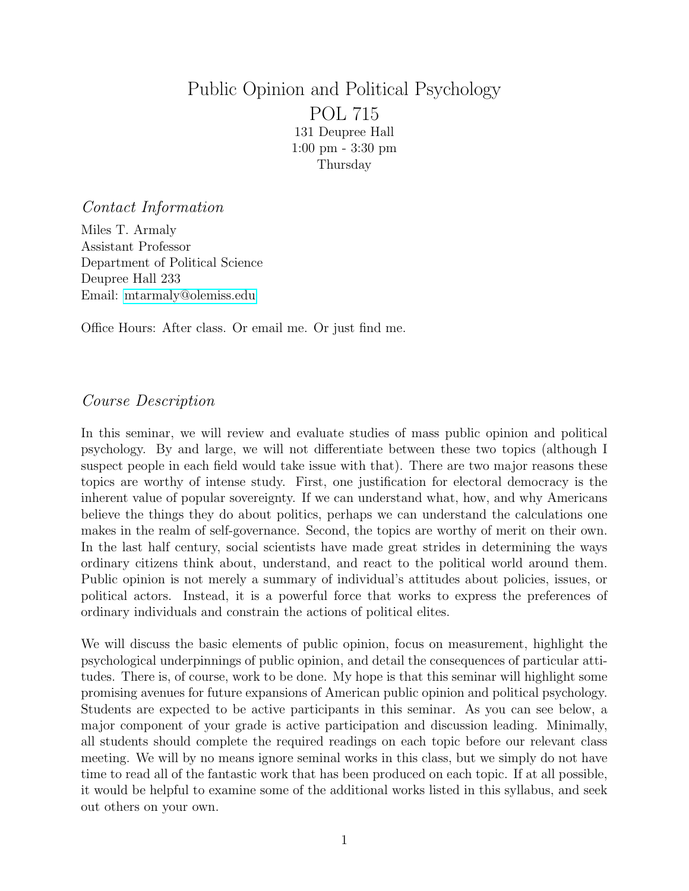# Public Opinion and Political Psychology POL 715 131 Deupree Hall 1:00 pm - 3:30 pm Thursday

#### Contact Information

Miles T. Armaly Assistant Professor Department of Political Science Deupree Hall 233 Email: [mtarmaly@olemiss.edu](mailto:mtarmaly@olemiss.edu)

Office Hours: After class. Or email me. Or just find me.

## Course Description

In this seminar, we will review and evaluate studies of mass public opinion and political psychology. By and large, we will not differentiate between these two topics (although I suspect people in each field would take issue with that). There are two major reasons these topics are worthy of intense study. First, one justification for electoral democracy is the inherent value of popular sovereignty. If we can understand what, how, and why Americans believe the things they do about politics, perhaps we can understand the calculations one makes in the realm of self-governance. Second, the topics are worthy of merit on their own. In the last half century, social scientists have made great strides in determining the ways ordinary citizens think about, understand, and react to the political world around them. Public opinion is not merely a summary of individual's attitudes about policies, issues, or political actors. Instead, it is a powerful force that works to express the preferences of ordinary individuals and constrain the actions of political elites.

We will discuss the basic elements of public opinion, focus on measurement, highlight the psychological underpinnings of public opinion, and detail the consequences of particular attitudes. There is, of course, work to be done. My hope is that this seminar will highlight some promising avenues for future expansions of American public opinion and political psychology. Students are expected to be active participants in this seminar. As you can see below, a major component of your grade is active participation and discussion leading. Minimally, all students should complete the required readings on each topic before our relevant class meeting. We will by no means ignore seminal works in this class, but we simply do not have time to read all of the fantastic work that has been produced on each topic. If at all possible, it would be helpful to examine some of the additional works listed in this syllabus, and seek out others on your own.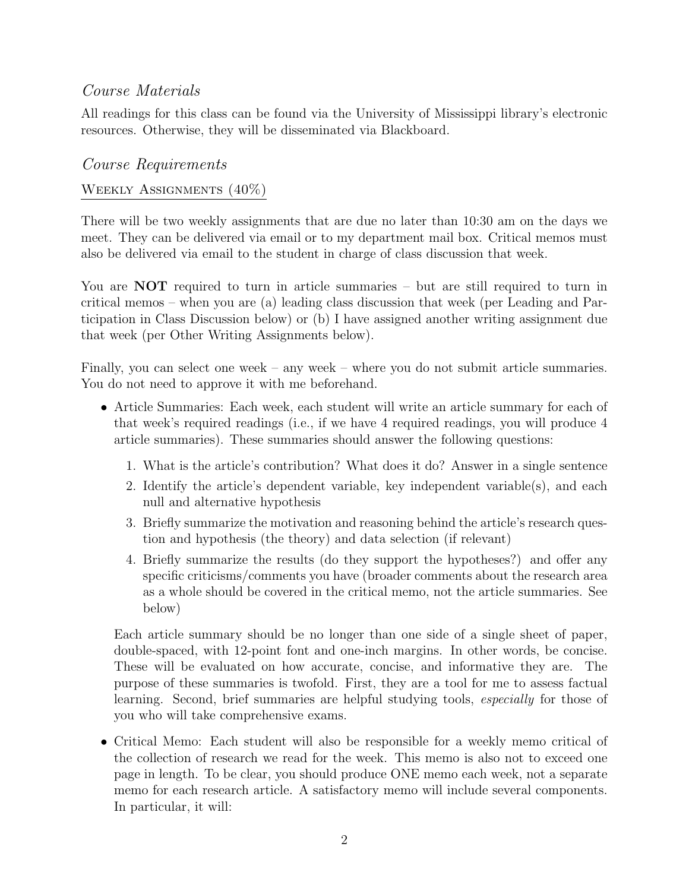## Course Materials

All readings for this class can be found via the University of Mississippi library's electronic resources. Otherwise, they will be disseminated via Blackboard.

### Course Requirements

### WEEKLY ASSIGNMENTS  $(40\%)$

There will be two weekly assignments that are due no later than 10:30 am on the days we meet. They can be delivered via email or to my department mail box. Critical memos must also be delivered via email to the student in charge of class discussion that week.

You are **NOT** required to turn in article summaries – but are still required to turn in critical memos – when you are (a) leading class discussion that week (per Leading and Participation in Class Discussion below) or (b) I have assigned another writing assignment due that week (per Other Writing Assignments below).

Finally, you can select one week – any week – where you do not submit article summaries. You do not need to approve it with me beforehand.

- Article Summaries: Each week, each student will write an article summary for each of that week's required readings (i.e., if we have 4 required readings, you will produce 4 article summaries). These summaries should answer the following questions:
	- 1. What is the article's contribution? What does it do? Answer in a single sentence
	- 2. Identify the article's dependent variable, key independent variable(s), and each null and alternative hypothesis
	- 3. Briefly summarize the motivation and reasoning behind the article's research question and hypothesis (the theory) and data selection (if relevant)
	- 4. Briefly summarize the results (do they support the hypotheses?) and offer any specific criticisms/comments you have (broader comments about the research area as a whole should be covered in the critical memo, not the article summaries. See below)

Each article summary should be no longer than one side of a single sheet of paper, double-spaced, with 12-point font and one-inch margins. In other words, be concise. These will be evaluated on how accurate, concise, and informative they are. The purpose of these summaries is twofold. First, they are a tool for me to assess factual learning. Second, brief summaries are helpful studying tools, especially for those of you who will take comprehensive exams.

• Critical Memo: Each student will also be responsible for a weekly memo critical of the collection of research we read for the week. This memo is also not to exceed one page in length. To be clear, you should produce ONE memo each week, not a separate memo for each research article. A satisfactory memo will include several components. In particular, it will: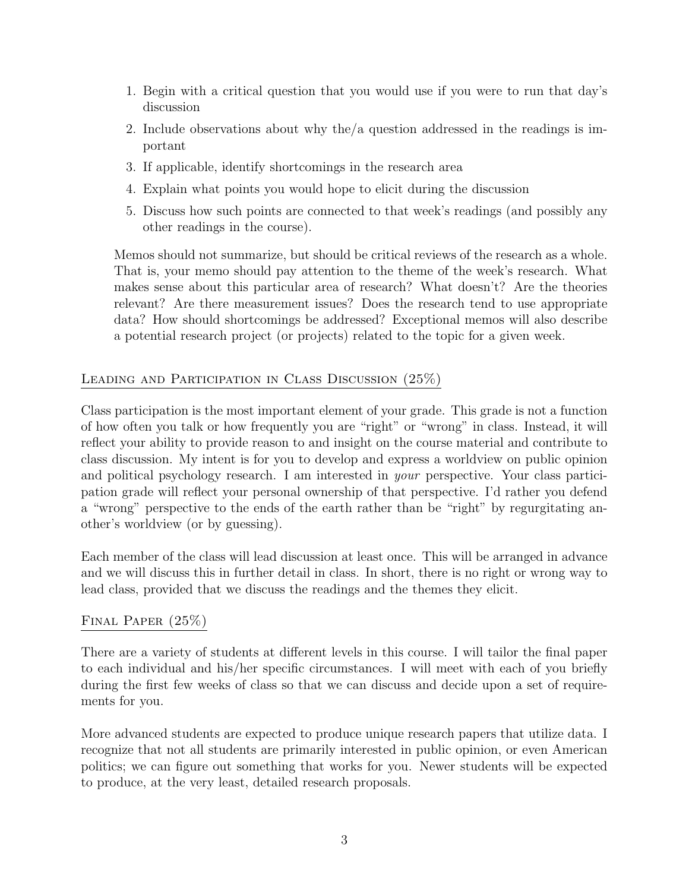- 1. Begin with a critical question that you would use if you were to run that day's discussion
- 2. Include observations about why the/a question addressed in the readings is important
- 3. If applicable, identify shortcomings in the research area
- 4. Explain what points you would hope to elicit during the discussion
- 5. Discuss how such points are connected to that week's readings (and possibly any other readings in the course).

Memos should not summarize, but should be critical reviews of the research as a whole. That is, your memo should pay attention to the theme of the week's research. What makes sense about this particular area of research? What doesn't? Are the theories relevant? Are there measurement issues? Does the research tend to use appropriate data? How should shortcomings be addressed? Exceptional memos will also describe a potential research project (or projects) related to the topic for a given week.

### Leading and Participation in Class Discussion (25%)

Class participation is the most important element of your grade. This grade is not a function of how often you talk or how frequently you are "right" or "wrong" in class. Instead, it will reflect your ability to provide reason to and insight on the course material and contribute to class discussion. My intent is for you to develop and express a worldview on public opinion and political psychology research. I am interested in your perspective. Your class participation grade will reflect your personal ownership of that perspective. I'd rather you defend a "wrong" perspective to the ends of the earth rather than be "right" by regurgitating another's worldview (or by guessing).

Each member of the class will lead discussion at least once. This will be arranged in advance and we will discuss this in further detail in class. In short, there is no right or wrong way to lead class, provided that we discuss the readings and the themes they elicit.

### FINAL PAPER  $(25%)$

There are a variety of students at different levels in this course. I will tailor the final paper to each individual and his/her specific circumstances. I will meet with each of you briefly during the first few weeks of class so that we can discuss and decide upon a set of requirements for you.

More advanced students are expected to produce unique research papers that utilize data. I recognize that not all students are primarily interested in public opinion, or even American politics; we can figure out something that works for you. Newer students will be expected to produce, at the very least, detailed research proposals.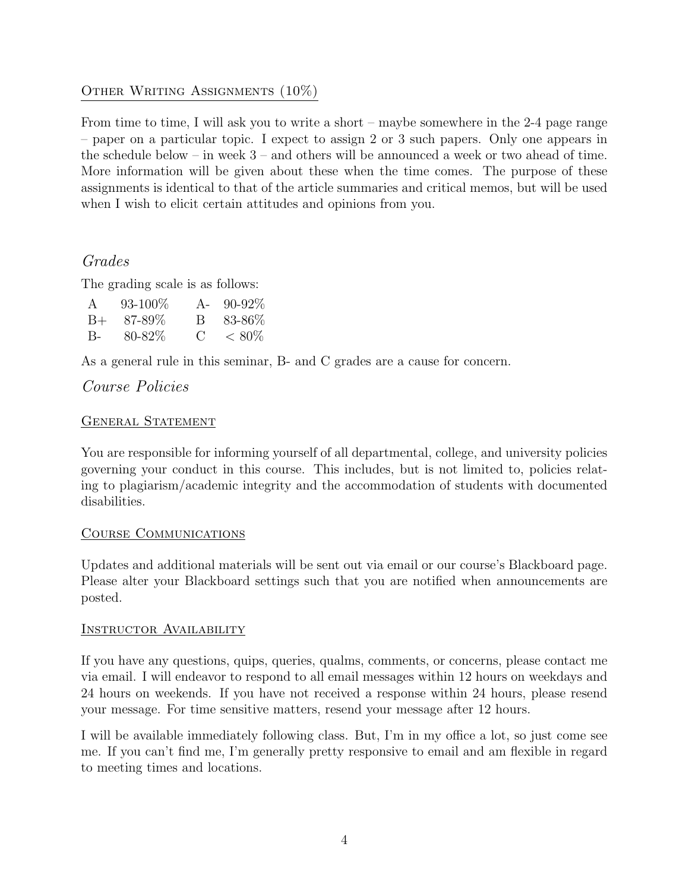### OTHER WRITING ASSIGNMENTS  $(10\%)$

From time to time, I will ask you to write a short – maybe somewhere in the 2-4 page range – paper on a particular topic. I expect to assign 2 or 3 such papers. Only one appears in the schedule below – in week 3 – and others will be announced a week or two ahead of time. More information will be given about these when the time comes. The purpose of these assignments is identical to that of the article summaries and critical memos, but will be used when I wish to elicit certain attitudes and opinions from you.

## Grades

The grading scale is as follows:

| $\mathsf{A}$ | $93 - 100\%$ |             | A- $90-92\%$  |
|--------------|--------------|-------------|---------------|
| $B++$        | - 87-89%     | $\mathsf B$ | 83-86%        |
| $B-$         | 80-82\%      |             | $C \leq 80\%$ |

As a general rule in this seminar, B- and C grades are a cause for concern.

## Course Policies

### GENERAL STATEMENT

You are responsible for informing yourself of all departmental, college, and university policies governing your conduct in this course. This includes, but is not limited to, policies relating to plagiarism/academic integrity and the accommodation of students with documented disabilities.

#### Course Communications

Updates and additional materials will be sent out via email or our course's Blackboard page. Please alter your Blackboard settings such that you are notified when announcements are posted.

#### Instructor Availability

If you have any questions, quips, queries, qualms, comments, or concerns, please contact me via email. I will endeavor to respond to all email messages within 12 hours on weekdays and 24 hours on weekends. If you have not received a response within 24 hours, please resend your message. For time sensitive matters, resend your message after 12 hours.

I will be available immediately following class. But, I'm in my office a lot, so just come see me. If you can't find me, I'm generally pretty responsive to email and am flexible in regard to meeting times and locations.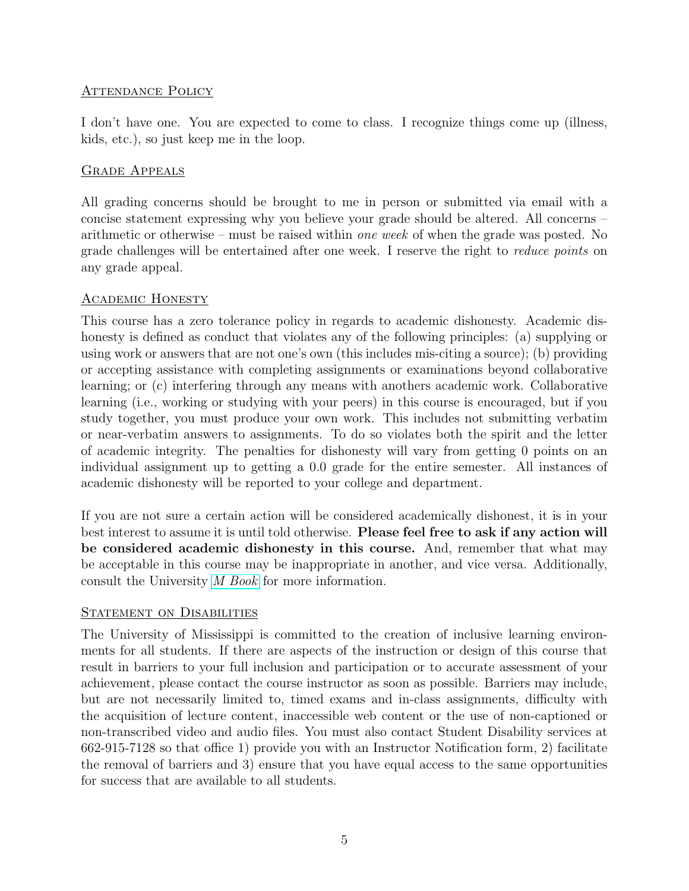#### ATTENDANCE POLICY

I don't have one. You are expected to come to class. I recognize things come up (illness, kids, etc.), so just keep me in the loop.

#### Grade Appeals

All grading concerns should be brought to me in person or submitted via email with a concise statement expressing why you believe your grade should be altered. All concerns – arithmetic or otherwise – must be raised within one week of when the grade was posted. No grade challenges will be entertained after one week. I reserve the right to reduce points on any grade appeal.

#### Academic Honesty

This course has a zero tolerance policy in regards to academic dishonesty. Academic dishonesty is defined as conduct that violates any of the following principles: (a) supplying or using work or answers that are not one's own (this includes mis-citing a source); (b) providing or accepting assistance with completing assignments or examinations beyond collaborative learning; or (c) interfering through any means with anothers academic work. Collaborative learning (i.e., working or studying with your peers) in this course is encouraged, but if you study together, you must produce your own work. This includes not submitting verbatim or near-verbatim answers to assignments. To do so violates both the spirit and the letter of academic integrity. The penalties for dishonesty will vary from getting 0 points on an individual assignment up to getting a 0.0 grade for the entire semester. All instances of academic dishonesty will be reported to your college and department.

If you are not sure a certain action will be considered academically dishonest, it is in your best interest to assume it is until told otherwise. Please feel free to ask if any action will be considered academic dishonesty in this course. And, remember that what may be acceptable in this course may be inappropriate in another, and vice versa. Additionally, consult the University [M Book](http://conflictresolution.olemiss.edu/wp-content/uploads/sites/2/2014/09/MBOOK20153.pdf) for more information.

### STATEMENT ON DISABILITIES

The University of Mississippi is committed to the creation of inclusive learning environments for all students. If there are aspects of the instruction or design of this course that result in barriers to your full inclusion and participation or to accurate assessment of your achievement, please contact the course instructor as soon as possible. Barriers may include, but are not necessarily limited to, timed exams and in-class assignments, difficulty with the acquisition of lecture content, inaccessible web content or the use of non-captioned or non-transcribed video and audio files. You must also contact Student Disability services at 662-915-7128 so that office 1) provide you with an Instructor Notification form, 2) facilitate the removal of barriers and 3) ensure that you have equal access to the same opportunities for success that are available to all students.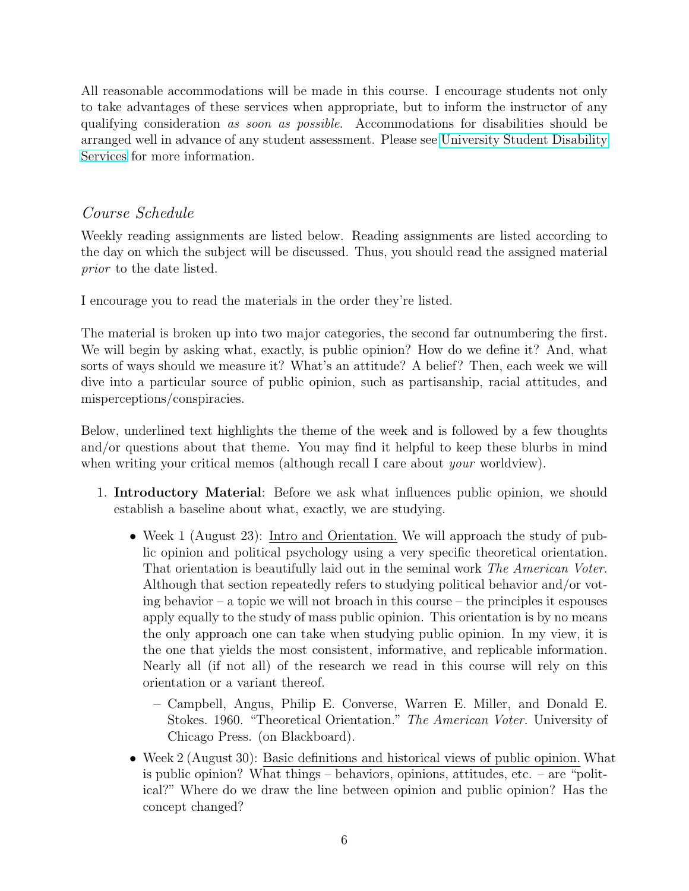All reasonable accommodations will be made in this course. I encourage students not only to take advantages of these services when appropriate, but to inform the instructor of any qualifying consideration as soon as possible. Accommodations for disabilities should be arranged well in advance of any student assessment. Please see [University Student Disability](sds.olemiss.edu) [Services](sds.olemiss.edu) for more information.

## Course Schedule

Weekly reading assignments are listed below. Reading assignments are listed according to the day on which the subject will be discussed. Thus, you should read the assigned material prior to the date listed.

I encourage you to read the materials in the order they're listed.

The material is broken up into two major categories, the second far outnumbering the first. We will begin by asking what, exactly, is public opinion? How do we define it? And, what sorts of ways should we measure it? What's an attitude? A belief? Then, each week we will dive into a particular source of public opinion, such as partisanship, racial attitudes, and misperceptions/conspiracies.

Below, underlined text highlights the theme of the week and is followed by a few thoughts and/or questions about that theme. You may find it helpful to keep these blurbs in mind when writing your critical memos (although recall I care about *your* worldview).

- 1. Introductory Material: Before we ask what influences public opinion, we should establish a baseline about what, exactly, we are studying.
	- Week 1 (August 23): Intro and Orientation. We will approach the study of public opinion and political psychology using a very specific theoretical orientation. That orientation is beautifully laid out in the seminal work The American Voter. Although that section repeatedly refers to studying political behavior and/or voting behavior – a topic we will not broach in this course – the principles it espouses apply equally to the study of mass public opinion. This orientation is by no means the only approach one can take when studying public opinion. In my view, it is the one that yields the most consistent, informative, and replicable information. Nearly all (if not all) of the research we read in this course will rely on this orientation or a variant thereof.
		- Campbell, Angus, Philip E. Converse, Warren E. Miller, and Donald E. Stokes. 1960. "Theoretical Orientation." The American Voter. University of Chicago Press. (on Blackboard).
	- Week 2 (August 30): Basic definitions and historical views of public opinion. What is public opinion? What things – behaviors, opinions, attitudes, etc. – are "political?" Where do we draw the line between opinion and public opinion? Has the concept changed?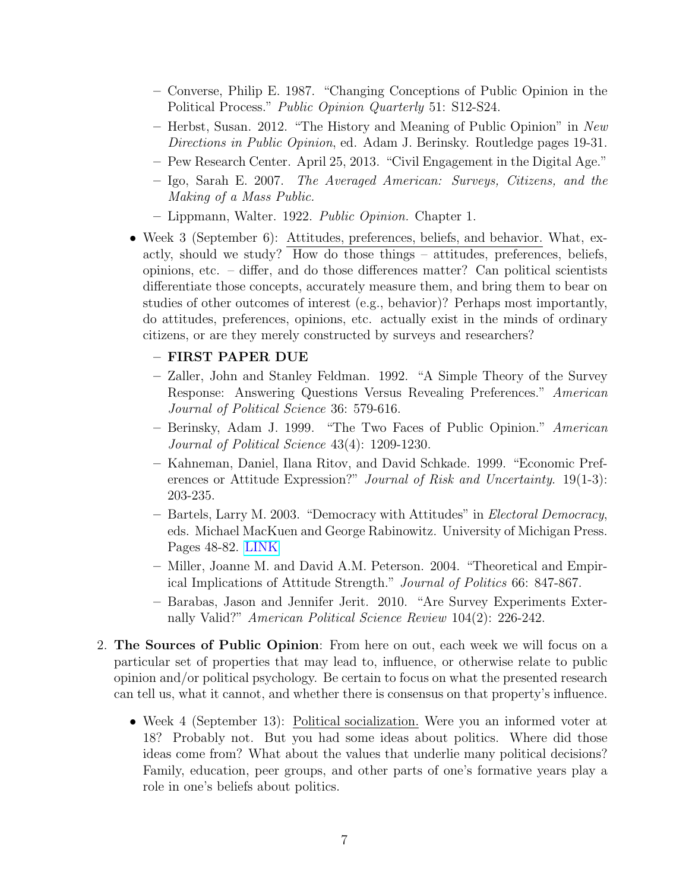- Converse, Philip E. 1987. "Changing Conceptions of Public Opinion in the Political Process." Public Opinion Quarterly 51: S12-S24.
- Herbst, Susan. 2012. "The History and Meaning of Public Opinion" in New Directions in Public Opinion, ed. Adam J. Berinsky. Routledge pages 19-31.
- Pew Research Center. April 25, 2013. "Civil Engagement in the Digital Age."
- Igo, Sarah E. 2007. The Averaged American: Surveys, Citizens, and the Making of a Mass Public.
- Lippmann, Walter. 1922. Public Opinion. Chapter 1.
- Week 3 (September 6): Attitudes, preferences, beliefs, and behavior. What, exactly, should we study? How do those things – attitudes, preferences, beliefs, opinions, etc. – differ, and do those differences matter? Can political scientists differentiate those concepts, accurately measure them, and bring them to bear on studies of other outcomes of interest (e.g., behavior)? Perhaps most importantly, do attitudes, preferences, opinions, etc. actually exist in the minds of ordinary citizens, or are they merely constructed by surveys and researchers?

#### – FIRST PAPER DUE

- Zaller, John and Stanley Feldman. 1992. "A Simple Theory of the Survey Response: Answering Questions Versus Revealing Preferences." American Journal of Political Science 36: 579-616.
- Berinsky, Adam J. 1999. "The Two Faces of Public Opinion." American Journal of Political Science 43(4): 1209-1230.
- Kahneman, Daniel, Ilana Ritov, and David Schkade. 1999. "Economic Preferences or Attitude Expression?" Journal of Risk and Uncertainty. 19(1-3): 203-235.
- Bartels, Larry M. 2003. "Democracy with Attitudes" in Electoral Democracy, eds. Michael MacKuen and George Rabinowitz. University of Michigan Press. Pages 48-82. [LINK](https://goo.gl/dGMFbT)
- Miller, Joanne M. and David A.M. Peterson. 2004. "Theoretical and Empirical Implications of Attitude Strength." Journal of Politics 66: 847-867.
- Barabas, Jason and Jennifer Jerit. 2010. "Are Survey Experiments Externally Valid?" American Political Science Review 104(2): 226-242.
- 2. The Sources of Public Opinion: From here on out, each week we will focus on a particular set of properties that may lead to, influence, or otherwise relate to public opinion and/or political psychology. Be certain to focus on what the presented research can tell us, what it cannot, and whether there is consensus on that property's influence.
	- Week 4 (September 13): Political socialization. Were you an informed voter at 18? Probably not. But you had some ideas about politics. Where did those ideas come from? What about the values that underlie many political decisions? Family, education, peer groups, and other parts of one's formative years play a role in one's beliefs about politics.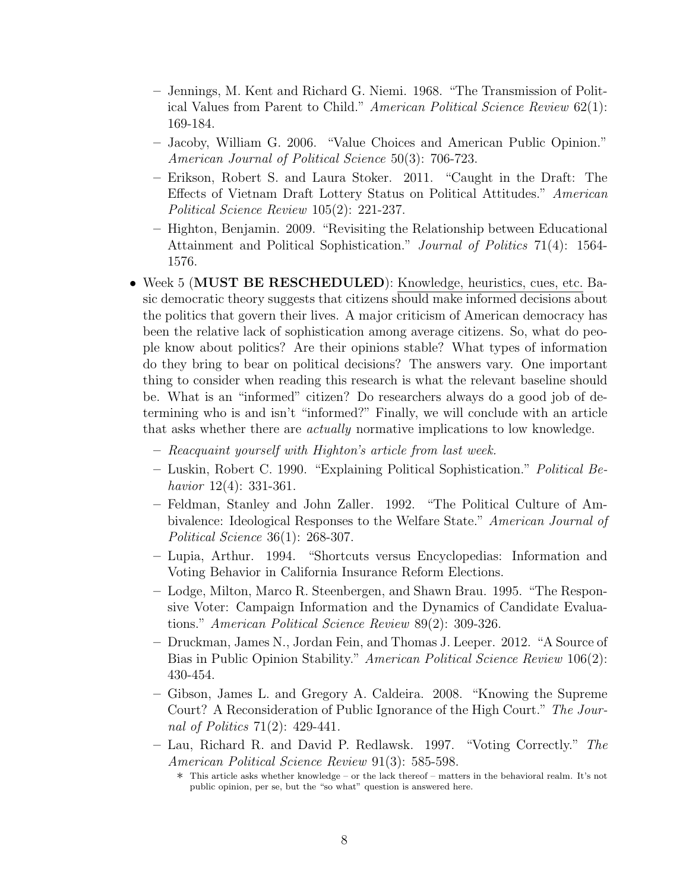- Jennings, M. Kent and Richard G. Niemi. 1968. "The Transmission of Political Values from Parent to Child." American Political Science Review 62(1): 169-184.
- Jacoby, William G. 2006. "Value Choices and American Public Opinion." American Journal of Political Science 50(3): 706-723.
- Erikson, Robert S. and Laura Stoker. 2011. "Caught in the Draft: The Effects of Vietnam Draft Lottery Status on Political Attitudes." American Political Science Review 105(2): 221-237.
- Highton, Benjamin. 2009. "Revisiting the Relationship between Educational Attainment and Political Sophistication." Journal of Politics 71(4): 1564- 1576.
- Week 5 (MUST BE RESCHEDULED): Knowledge, heuristics, cues, etc. Basic democratic theory suggests that citizens should make informed decisions about the politics that govern their lives. A major criticism of American democracy has been the relative lack of sophistication among average citizens. So, what do people know about politics? Are their opinions stable? What types of information do they bring to bear on political decisions? The answers vary. One important thing to consider when reading this research is what the relevant baseline should be. What is an "informed" citizen? Do researchers always do a good job of determining who is and isn't "informed?" Finally, we will conclude with an article that asks whether there are actually normative implications to low knowledge.
	- Reacquaint yourself with Highton's article from last week.
	- Luskin, Robert C. 1990. "Explaining Political Sophistication." Political Behavior 12(4): 331-361.
	- Feldman, Stanley and John Zaller. 1992. "The Political Culture of Ambivalence: Ideological Responses to the Welfare State." American Journal of Political Science 36(1): 268-307.
	- Lupia, Arthur. 1994. "Shortcuts versus Encyclopedias: Information and Voting Behavior in California Insurance Reform Elections.
	- Lodge, Milton, Marco R. Steenbergen, and Shawn Brau. 1995. "The Responsive Voter: Campaign Information and the Dynamics of Candidate Evaluations." American Political Science Review 89(2): 309-326.
	- Druckman, James N., Jordan Fein, and Thomas J. Leeper. 2012. "A Source of Bias in Public Opinion Stability." American Political Science Review 106(2): 430-454.
	- Gibson, James L. and Gregory A. Caldeira. 2008. "Knowing the Supreme Court? A Reconsideration of Public Ignorance of the High Court." The Journal of Politics 71(2): 429-441.
	- Lau, Richard R. and David P. Redlawsk. 1997. "Voting Correctly." The American Political Science Review 91(3): 585-598.

<sup>∗</sup> This article asks whether knowledge – or the lack thereof – matters in the behavioral realm. It's not public opinion, per se, but the "so what" question is answered here.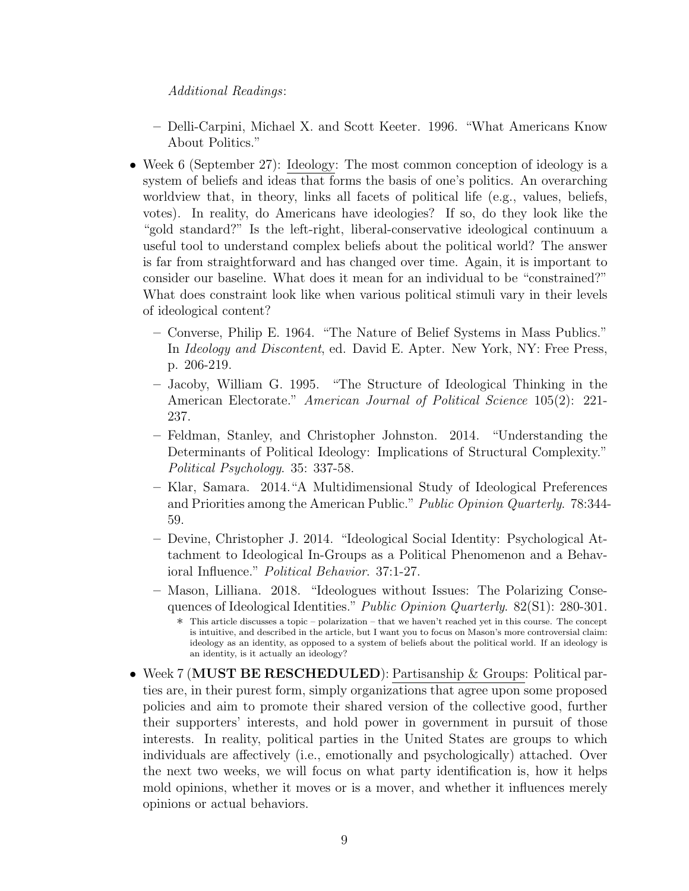#### Additional Readings:

- Delli-Carpini, Michael X. and Scott Keeter. 1996. "What Americans Know About Politics."
- Week 6 (September 27): Ideology: The most common conception of ideology is a system of beliefs and ideas that forms the basis of one's politics. An overarching worldview that, in theory, links all facets of political life (e.g., values, beliefs, votes). In reality, do Americans have ideologies? If so, do they look like the "gold standard?" Is the left-right, liberal-conservative ideological continuum a useful tool to understand complex beliefs about the political world? The answer is far from straightforward and has changed over time. Again, it is important to consider our baseline. What does it mean for an individual to be "constrained?" What does constraint look like when various political stimuli vary in their levels of ideological content?
	- Converse, Philip E. 1964. "The Nature of Belief Systems in Mass Publics." In Ideology and Discontent, ed. David E. Apter. New York, NY: Free Press, p. 206-219.
	- Jacoby, William G. 1995. "The Structure of Ideological Thinking in the American Electorate." American Journal of Political Science 105(2): 221- 237.
	- Feldman, Stanley, and Christopher Johnston. 2014. "Understanding the Determinants of Political Ideology: Implications of Structural Complexity." Political Psychology. 35: 337-58.
	- Klar, Samara. 2014."A Multidimensional Study of Ideological Preferences and Priorities among the American Public." Public Opinion Quarterly. 78:344- 59.
	- Devine, Christopher J. 2014. "Ideological Social Identity: Psychological Attachment to Ideological In-Groups as a Political Phenomenon and a Behavioral Influence." Political Behavior. 37:1-27.
	- Mason, Lilliana. 2018. "Ideologues without Issues: The Polarizing Consequences of Ideological Identities." Public Opinion Quarterly. 82(S1): 280-301.
		- ∗ This article discusses a topic polarization that we haven't reached yet in this course. The concept is intuitive, and described in the article, but I want you to focus on Mason's more controversial claim: ideology as an identity, as opposed to a system of beliefs about the political world. If an ideology is an identity, is it actually an ideology?
- Week 7 (MUST BE RESCHEDULED): Partisanship & Groups: Political parties are, in their purest form, simply organizations that agree upon some proposed policies and aim to promote their shared version of the collective good, further their supporters' interests, and hold power in government in pursuit of those interests. In reality, political parties in the United States are groups to which individuals are affectively (i.e., emotionally and psychologically) attached. Over the next two weeks, we will focus on what party identification is, how it helps mold opinions, whether it moves or is a mover, and whether it influences merely opinions or actual behaviors.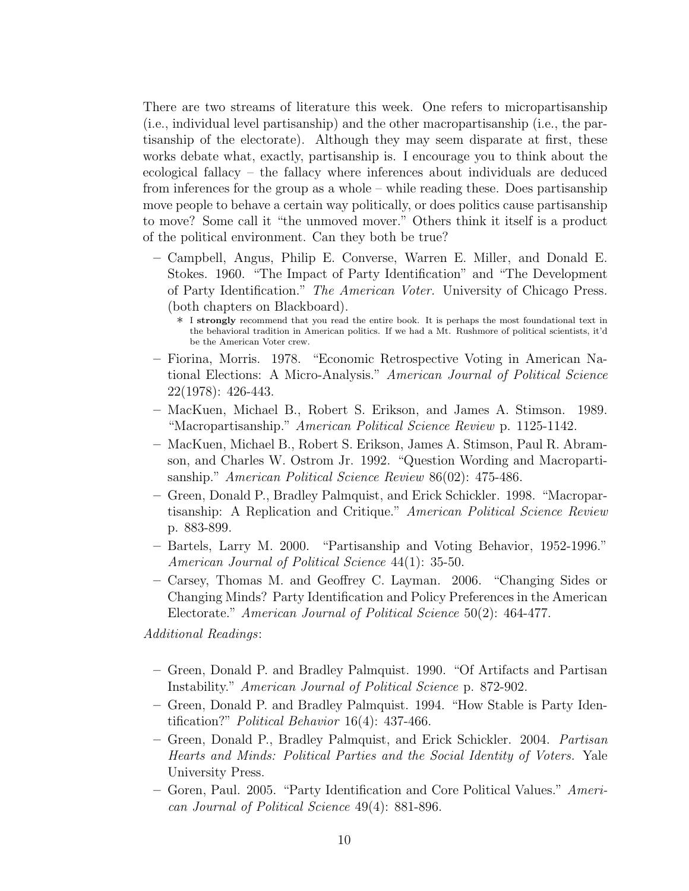There are two streams of literature this week. One refers to micropartisanship (i.e., individual level partisanship) and the other macropartisanship (i.e., the partisanship of the electorate). Although they may seem disparate at first, these works debate what, exactly, partisanship is. I encourage you to think about the ecological fallacy – the fallacy where inferences about individuals are deduced from inferences for the group as a whole – while reading these. Does partisanship move people to behave a certain way politically, or does politics cause partisanship to move? Some call it "the unmoved mover." Others think it itself is a product of the political environment. Can they both be true?

- Campbell, Angus, Philip E. Converse, Warren E. Miller, and Donald E. Stokes. 1960. "The Impact of Party Identification" and "The Development of Party Identification." The American Voter. University of Chicago Press. (both chapters on Blackboard).
	- ∗ <sup>I</sup> strongly recommend that you read the entire book. It is perhaps the most foundational text in the behavioral tradition in American politics. If we had a Mt. Rushmore of political scientists, it'd be the American Voter crew.
- Fiorina, Morris. 1978. "Economic Retrospective Voting in American National Elections: A Micro-Analysis." American Journal of Political Science 22(1978): 426-443.
- MacKuen, Michael B., Robert S. Erikson, and James A. Stimson. 1989. "Macropartisanship." American Political Science Review p. 1125-1142.
- MacKuen, Michael B., Robert S. Erikson, James A. Stimson, Paul R. Abramson, and Charles W. Ostrom Jr. 1992. "Question Wording and Macropartisanship." American Political Science Review 86(02): 475-486.
- Green, Donald P., Bradley Palmquist, and Erick Schickler. 1998. "Macropartisanship: A Replication and Critique." American Political Science Review p. 883-899.
- Bartels, Larry M. 2000. "Partisanship and Voting Behavior, 1952-1996." American Journal of Political Science 44(1): 35-50.
- Carsey, Thomas M. and Geoffrey C. Layman. 2006. "Changing Sides or Changing Minds? Party Identification and Policy Preferences in the American Electorate." American Journal of Political Science 50(2): 464-477.

Additional Readings:

- Green, Donald P. and Bradley Palmquist. 1990. "Of Artifacts and Partisan Instability." American Journal of Political Science p. 872-902.
- Green, Donald P. and Bradley Palmquist. 1994. "How Stable is Party Identification?" Political Behavior 16(4): 437-466.
- Green, Donald P., Bradley Palmquist, and Erick Schickler. 2004. Partisan Hearts and Minds: Political Parties and the Social Identity of Voters. Yale University Press.
- Goren, Paul. 2005. "Party Identification and Core Political Values." American Journal of Political Science 49(4): 881-896.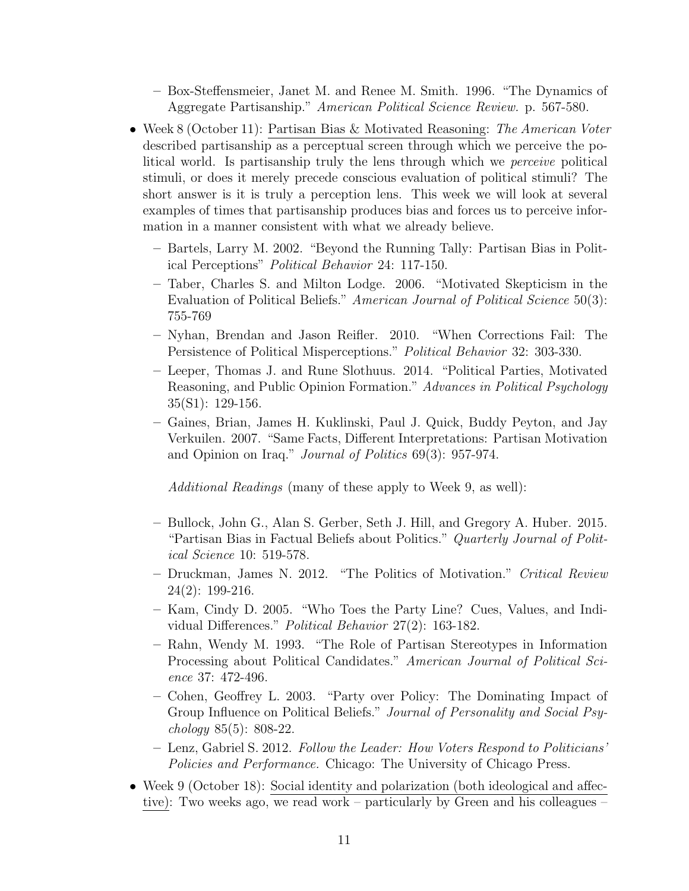– Box-Steffensmeier, Janet M. and Renee M. Smith. 1996. "The Dynamics of Aggregate Partisanship." American Political Science Review. p. 567-580.

- Week 8 (October 11): Partisan Bias & Motivated Reasoning: The American Voter described partisanship as a perceptual screen through which we perceive the political world. Is partisanship truly the lens through which we perceive political stimuli, or does it merely precede conscious evaluation of political stimuli? The short answer is it is truly a perception lens. This week we will look at several examples of times that partisanship produces bias and forces us to perceive information in a manner consistent with what we already believe.
	- Bartels, Larry M. 2002. "Beyond the Running Tally: Partisan Bias in Political Perceptions" Political Behavior 24: 117-150.
	- Taber, Charles S. and Milton Lodge. 2006. "Motivated Skepticism in the Evaluation of Political Beliefs." American Journal of Political Science 50(3): 755-769
	- Nyhan, Brendan and Jason Reifler. 2010. "When Corrections Fail: The Persistence of Political Misperceptions." Political Behavior 32: 303-330.
	- Leeper, Thomas J. and Rune Slothuus. 2014. "Political Parties, Motivated Reasoning, and Public Opinion Formation." Advances in Political Psychology 35(S1): 129-156.
	- Gaines, Brian, James H. Kuklinski, Paul J. Quick, Buddy Peyton, and Jay Verkuilen. 2007. "Same Facts, Different Interpretations: Partisan Motivation and Opinion on Iraq." Journal of Politics 69(3): 957-974.

Additional Readings (many of these apply to Week 9, as well):

- Bullock, John G., Alan S. Gerber, Seth J. Hill, and Gregory A. Huber. 2015. "Partisan Bias in Factual Beliefs about Politics." Quarterly Journal of Political Science 10: 519-578.
- Druckman, James N. 2012. "The Politics of Motivation." Critical Review 24(2): 199-216.
- Kam, Cindy D. 2005. "Who Toes the Party Line? Cues, Values, and Individual Differences." Political Behavior 27(2): 163-182.
- Rahn, Wendy M. 1993. "The Role of Partisan Stereotypes in Information Processing about Political Candidates." American Journal of Political Science 37: 472-496.
- Cohen, Geoffrey L. 2003. "Party over Policy: The Dominating Impact of Group Influence on Political Beliefs." Journal of Personality and Social Psychology 85(5): 808-22.
- Lenz, Gabriel S. 2012. Follow the Leader: How Voters Respond to Politicians' Policies and Performance. Chicago: The University of Chicago Press.
- Week 9 (October 18): Social identity and polarization (both ideological and affective): Two weeks ago, we read work – particularly by Green and his colleagues –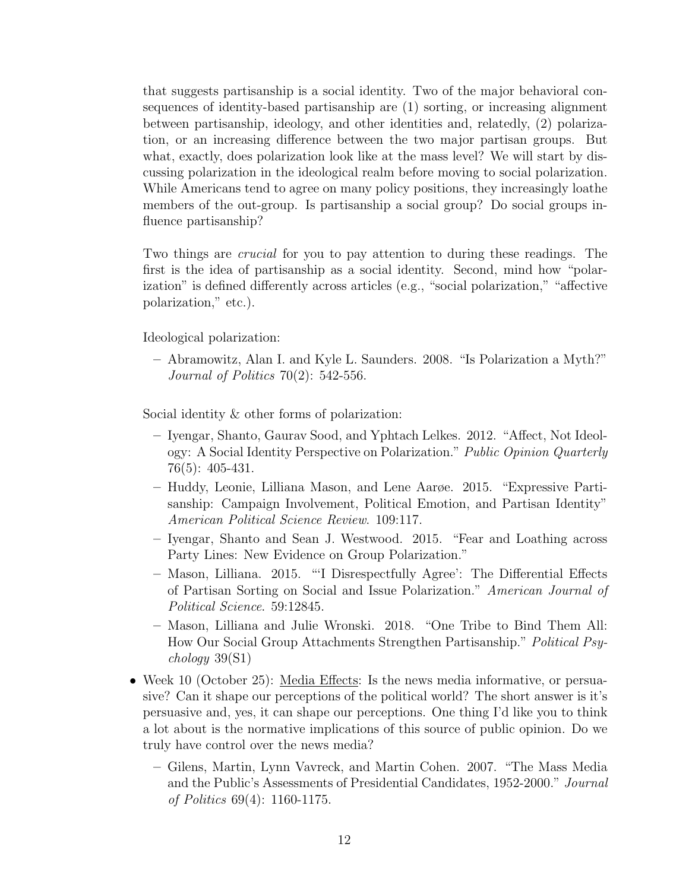that suggests partisanship is a social identity. Two of the major behavioral consequences of identity-based partisanship are (1) sorting, or increasing alignment between partisanship, ideology, and other identities and, relatedly, (2) polarization, or an increasing difference between the two major partisan groups. But what, exactly, does polarization look like at the mass level? We will start by discussing polarization in the ideological realm before moving to social polarization. While Americans tend to agree on many policy positions, they increasingly loathe members of the out-group. Is partisanship a social group? Do social groups influence partisanship?

Two things are crucial for you to pay attention to during these readings. The first is the idea of partisanship as a social identity. Second, mind how "polarization" is defined differently across articles (e.g., "social polarization," "affective polarization," etc.).

Ideological polarization:

– Abramowitz, Alan I. and Kyle L. Saunders. 2008. "Is Polarization a Myth?" Journal of Politics 70(2): 542-556.

Social identity & other forms of polarization:

- Iyengar, Shanto, Gaurav Sood, and Yphtach Lelkes. 2012. "Affect, Not Ideology: A Social Identity Perspective on Polarization." Public Opinion Quarterly 76(5): 405-431.
- Huddy, Leonie, Lilliana Mason, and Lene Aarøe. 2015. "Expressive Partisanship: Campaign Involvement, Political Emotion, and Partisan Identity" American Political Science Review. 109:117.
- Iyengar, Shanto and Sean J. Westwood. 2015. "Fear and Loathing across Party Lines: New Evidence on Group Polarization."
- Mason, Lilliana. 2015. "'I Disrespectfully Agree': The Differential Effects of Partisan Sorting on Social and Issue Polarization." American Journal of Political Science. 59:12845.
- Mason, Lilliana and Julie Wronski. 2018. "One Tribe to Bind Them All: How Our Social Group Attachments Strengthen Partisanship." Political Psychology 39(S1)
- Week 10 (October 25): Media Effects: Is the news media informative, or persuasive? Can it shape our perceptions of the political world? The short answer is it's persuasive and, yes, it can shape our perceptions. One thing I'd like you to think a lot about is the normative implications of this source of public opinion. Do we truly have control over the news media?
	- Gilens, Martin, Lynn Vavreck, and Martin Cohen. 2007. "The Mass Media and the Public's Assessments of Presidential Candidates, 1952-2000." Journal of Politics 69(4): 1160-1175.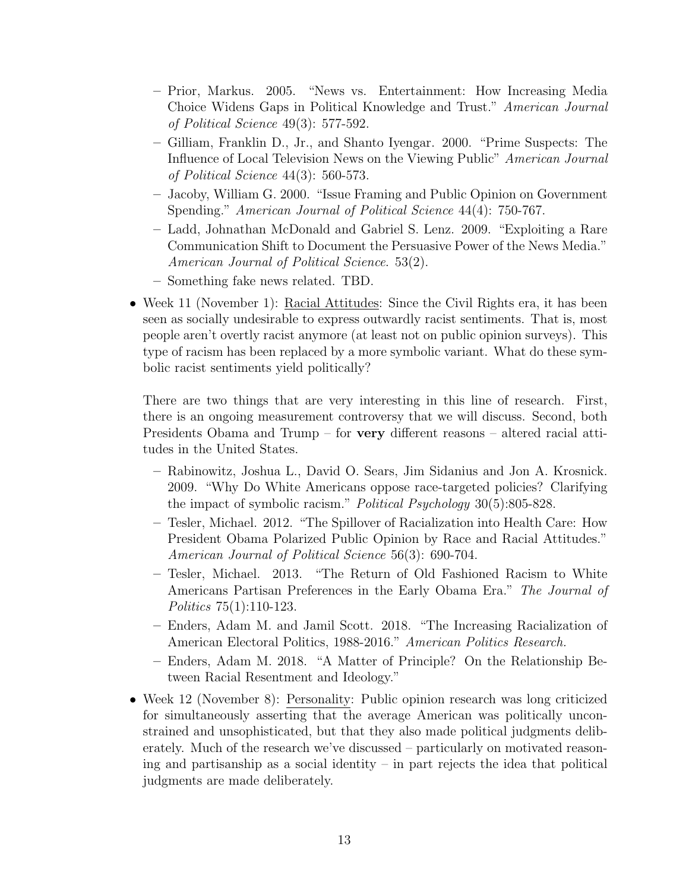- Prior, Markus. 2005. "News vs. Entertainment: How Increasing Media Choice Widens Gaps in Political Knowledge and Trust." American Journal of Political Science 49(3): 577-592.
- Gilliam, Franklin D., Jr., and Shanto Iyengar. 2000. "Prime Suspects: The Influence of Local Television News on the Viewing Public" American Journal of Political Science 44(3): 560-573.
- Jacoby, William G. 2000. "Issue Framing and Public Opinion on Government Spending." American Journal of Political Science 44(4): 750-767.
- Ladd, Johnathan McDonald and Gabriel S. Lenz. 2009. "Exploiting a Rare Communication Shift to Document the Persuasive Power of the News Media." American Journal of Political Science. 53(2).
- Something fake news related. TBD.
- Week 11 (November 1): Racial Attitudes: Since the Civil Rights era, it has been seen as socially undesirable to express outwardly racist sentiments. That is, most people aren't overtly racist anymore (at least not on public opinion surveys). This type of racism has been replaced by a more symbolic variant. What do these symbolic racist sentiments yield politically?

There are two things that are very interesting in this line of research. First, there is an ongoing measurement controversy that we will discuss. Second, both Presidents Obama and Trump – for very different reasons – altered racial attitudes in the United States.

- Rabinowitz, Joshua L., David O. Sears, Jim Sidanius and Jon A. Krosnick. 2009. "Why Do White Americans oppose race-targeted policies? Clarifying the impact of symbolic racism." Political Psychology 30(5):805-828.
- Tesler, Michael. 2012. "The Spillover of Racialization into Health Care: How President Obama Polarized Public Opinion by Race and Racial Attitudes." American Journal of Political Science 56(3): 690-704.
- Tesler, Michael. 2013. "The Return of Old Fashioned Racism to White Americans Partisan Preferences in the Early Obama Era." The Journal of Politics 75(1):110-123.
- Enders, Adam M. and Jamil Scott. 2018. "The Increasing Racialization of American Electoral Politics, 1988-2016." American Politics Research.
- Enders, Adam M. 2018. "A Matter of Principle? On the Relationship Between Racial Resentment and Ideology."
- Week 12 (November 8): Personality: Public opinion research was long criticized for simultaneously asserting that the average American was politically unconstrained and unsophisticated, but that they also made political judgments deliberately. Much of the research we've discussed – particularly on motivated reasoning and partisanship as a social identity – in part rejects the idea that political judgments are made deliberately.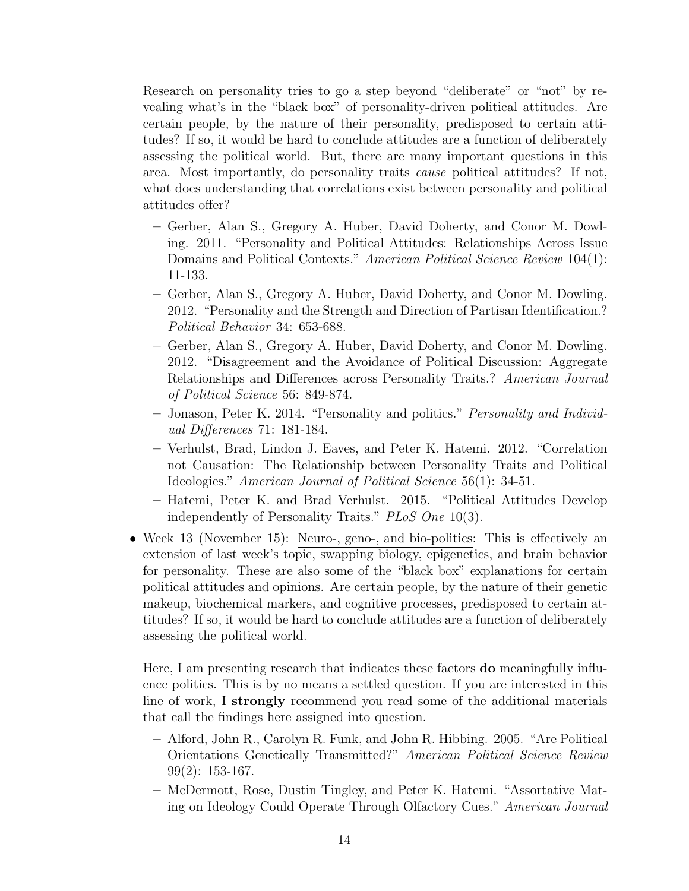Research on personality tries to go a step beyond "deliberate" or "not" by revealing what's in the "black box" of personality-driven political attitudes. Are certain people, by the nature of their personality, predisposed to certain attitudes? If so, it would be hard to conclude attitudes are a function of deliberately assessing the political world. But, there are many important questions in this area. Most importantly, do personality traits cause political attitudes? If not, what does understanding that correlations exist between personality and political attitudes offer?

- Gerber, Alan S., Gregory A. Huber, David Doherty, and Conor M. Dowling. 2011. "Personality and Political Attitudes: Relationships Across Issue Domains and Political Contexts." American Political Science Review 104(1): 11-133.
- Gerber, Alan S., Gregory A. Huber, David Doherty, and Conor M. Dowling. 2012. "Personality and the Strength and Direction of Partisan Identification.? Political Behavior 34: 653-688.
- Gerber, Alan S., Gregory A. Huber, David Doherty, and Conor M. Dowling. 2012. "Disagreement and the Avoidance of Political Discussion: Aggregate Relationships and Differences across Personality Traits.? American Journal of Political Science 56: 849-874.
- Jonason, Peter K. 2014. "Personality and politics." Personality and Individual Differences 71: 181-184.
- Verhulst, Brad, Lindon J. Eaves, and Peter K. Hatemi. 2012. "Correlation not Causation: The Relationship between Personality Traits and Political Ideologies." American Journal of Political Science 56(1): 34-51.
- Hatemi, Peter K. and Brad Verhulst. 2015. "Political Attitudes Develop independently of Personality Traits." PLoS One 10(3).
- Week 13 (November 15): Neuro-, geno-, and bio-politics: This is effectively an extension of last week's topic, swapping biology, epigenetics, and brain behavior for personality. These are also some of the "black box" explanations for certain political attitudes and opinions. Are certain people, by the nature of their genetic makeup, biochemical markers, and cognitive processes, predisposed to certain attitudes? If so, it would be hard to conclude attitudes are a function of deliberately assessing the political world.

Here, I am presenting research that indicates these factors do meaningfully influence politics. This is by no means a settled question. If you are interested in this line of work, I strongly recommend you read some of the additional materials that call the findings here assigned into question.

- Alford, John R., Carolyn R. Funk, and John R. Hibbing. 2005. "Are Political Orientations Genetically Transmitted?" American Political Science Review 99(2): 153-167.
- McDermott, Rose, Dustin Tingley, and Peter K. Hatemi. "Assortative Mating on Ideology Could Operate Through Olfactory Cues." American Journal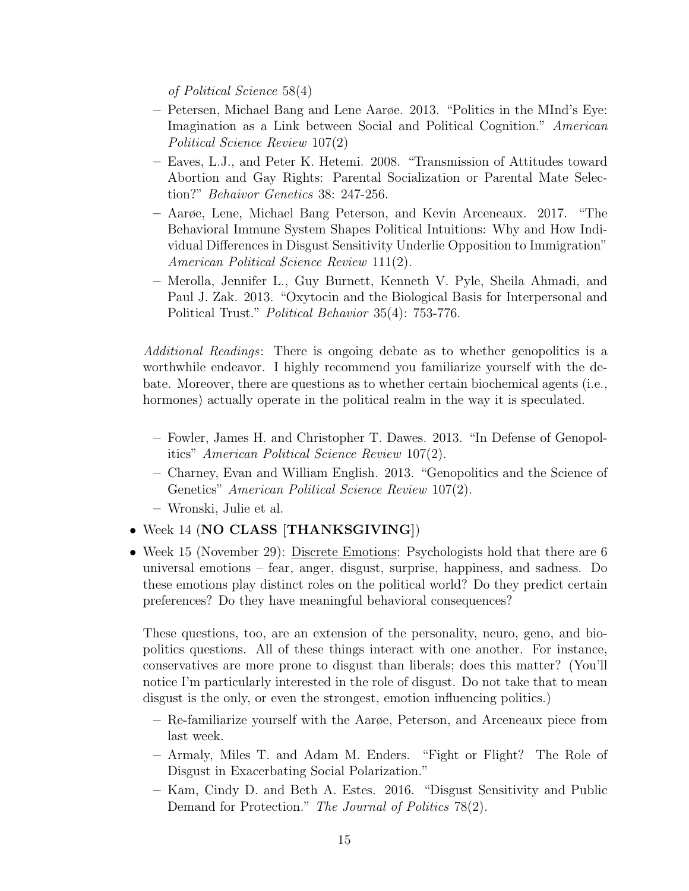of Political Science 58(4)

- Petersen, Michael Bang and Lene Aarøe. 2013. "Politics in the MInd's Eye: Imagination as a Link between Social and Political Cognition." American Political Science Review 107(2)
- Eaves, L.J., and Peter K. Hetemi. 2008. "Transmission of Attitudes toward Abortion and Gay Rights: Parental Socialization or Parental Mate Selection?" Behaivor Genetics 38: 247-256.
- Aarøe, Lene, Michael Bang Peterson, and Kevin Arceneaux. 2017. "The Behavioral Immune System Shapes Political Intuitions: Why and How Individual Differences in Disgust Sensitivity Underlie Opposition to Immigration" American Political Science Review 111(2).
- Merolla, Jennifer L., Guy Burnett, Kenneth V. Pyle, Sheila Ahmadi, and Paul J. Zak. 2013. "Oxytocin and the Biological Basis for Interpersonal and Political Trust." Political Behavior 35(4): 753-776.

Additional Readings: There is ongoing debate as to whether genopolitics is a worthwhile endeavor. I highly recommend you familiarize yourself with the debate. Moreover, there are questions as to whether certain biochemical agents (i.e., hormones) actually operate in the political realm in the way it is speculated.

- Fowler, James H. and Christopher T. Dawes. 2013. "In Defense of Genopolitics" American Political Science Review 107(2).
- Charney, Evan and William English. 2013. "Genopolitics and the Science of Genetics" American Political Science Review 107(2).
- Wronski, Julie et al.
- Week 14 (NO CLASS [THANKSGIVING])
- Week 15 (November 29): Discrete Emotions: Psychologists hold that there are 6 universal emotions – fear, anger, disgust, surprise, happiness, and sadness. Do these emotions play distinct roles on the political world? Do they predict certain preferences? Do they have meaningful behavioral consequences?

These questions, too, are an extension of the personality, neuro, geno, and biopolitics questions. All of these things interact with one another. For instance, conservatives are more prone to disgust than liberals; does this matter? (You'll notice I'm particularly interested in the role of disgust. Do not take that to mean disgust is the only, or even the strongest, emotion influencing politics.)

- Re-familiarize yourself with the Aarøe, Peterson, and Arceneaux piece from last week.
- Armaly, Miles T. and Adam M. Enders. "Fight or Flight? The Role of Disgust in Exacerbating Social Polarization."
- Kam, Cindy D. and Beth A. Estes. 2016. "Disgust Sensitivity and Public Demand for Protection." The Journal of Politics 78(2).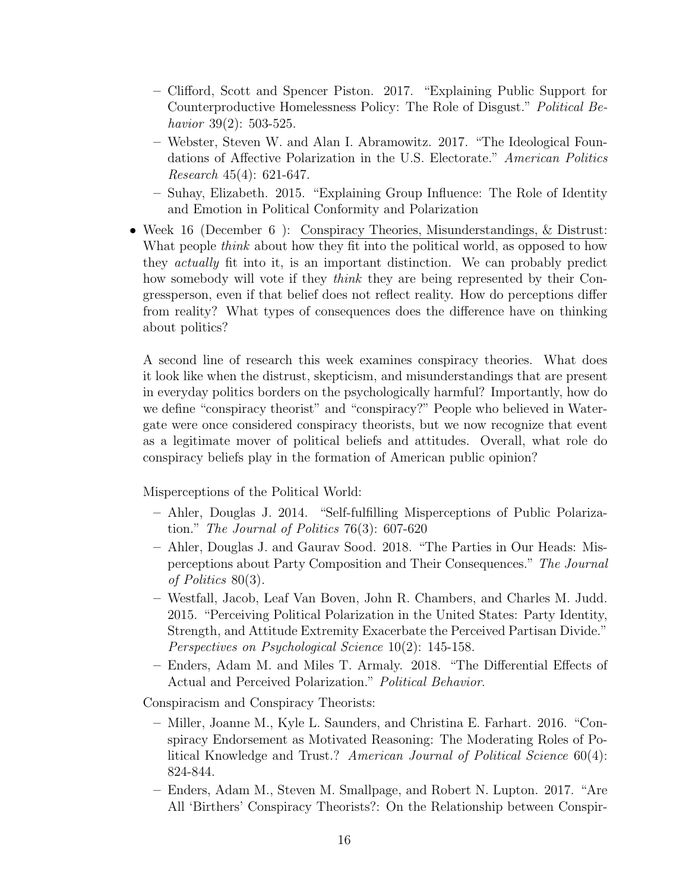- Clifford, Scott and Spencer Piston. 2017. "Explaining Public Support for Counterproductive Homelessness Policy: The Role of Disgust." Political Behavior 39(2): 503-525.
- Webster, Steven W. and Alan I. Abramowitz. 2017. "The Ideological Foundations of Affective Polarization in the U.S. Electorate." American Politics Research 45(4): 621-647.
- Suhay, Elizabeth. 2015. "Explaining Group Influence: The Role of Identity and Emotion in Political Conformity and Polarization
- Week 16 (December 6): Conspiracy Theories, Misunderstandings, & Distrust: What people *think* about how they fit into the political world, as opposed to how they actually fit into it, is an important distinction. We can probably predict how somebody will vote if they think they are being represented by their Congressperson, even if that belief does not reflect reality. How do perceptions differ from reality? What types of consequences does the difference have on thinking about politics?

A second line of research this week examines conspiracy theories. What does it look like when the distrust, skepticism, and misunderstandings that are present in everyday politics borders on the psychologically harmful? Importantly, how do we define "conspiracy theorist" and "conspiracy?" People who believed in Watergate were once considered conspiracy theorists, but we now recognize that event as a legitimate mover of political beliefs and attitudes. Overall, what role do conspiracy beliefs play in the formation of American public opinion?

Misperceptions of the Political World:

- Ahler, Douglas J. 2014. "Self-fulfilling Misperceptions of Public Polarization." The Journal of Politics 76(3): 607-620
- Ahler, Douglas J. and Gaurav Sood. 2018. "The Parties in Our Heads: Misperceptions about Party Composition and Their Consequences." The Journal of Politics 80(3).
- Westfall, Jacob, Leaf Van Boven, John R. Chambers, and Charles M. Judd. 2015. "Perceiving Political Polarization in the United States: Party Identity, Strength, and Attitude Extremity Exacerbate the Perceived Partisan Divide." Perspectives on Psychological Science 10(2): 145-158.
- Enders, Adam M. and Miles T. Armaly. 2018. "The Differential Effects of Actual and Perceived Polarization." Political Behavior.

Conspiracism and Conspiracy Theorists:

- Miller, Joanne M., Kyle L. Saunders, and Christina E. Farhart. 2016. "Conspiracy Endorsement as Motivated Reasoning: The Moderating Roles of Political Knowledge and Trust.? American Journal of Political Science 60(4): 824-844.
- Enders, Adam M., Steven M. Smallpage, and Robert N. Lupton. 2017. "Are All 'Birthers' Conspiracy Theorists?: On the Relationship between Conspir-